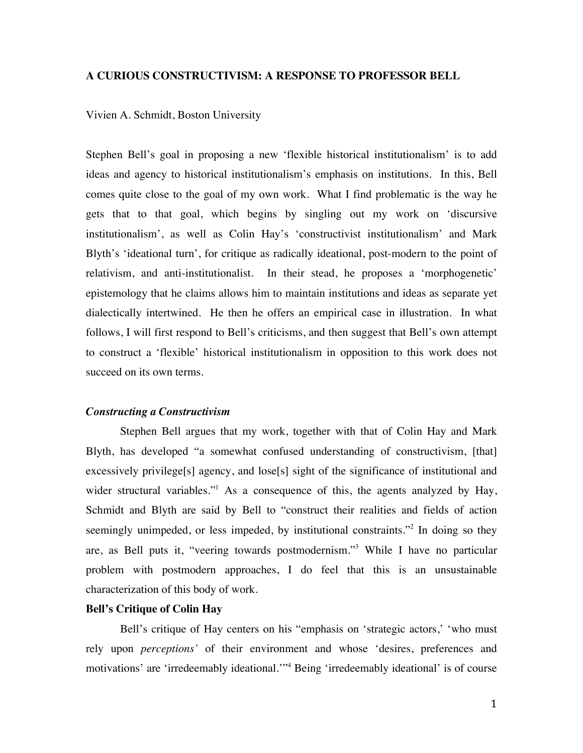# **A CURIOUS CONSTRUCTIVISM: A RESPONSE TO PROFESSOR BELL**

Vivien A. Schmidt, Boston University

Stephen Bell's goal in proposing a new 'flexible historical institutionalism' is to add ideas and agency to historical institutionalism's emphasis on institutions. In this, Bell comes quite close to the goal of my own work. What I find problematic is the way he gets that to that goal, which begins by singling out my work on 'discursive institutionalism', as well as Colin Hay's 'constructivist institutionalism' and Mark Blyth's 'ideational turn', for critique as radically ideational, post-modern to the point of relativism, and anti-institutionalist. In their stead, he proposes a 'morphogenetic' epistemology that he claims allows him to maintain institutions and ideas as separate yet dialectically intertwined. He then he offers an empirical case in illustration. In what follows, I will first respond to Bell's criticisms, and then suggest that Bell's own attempt to construct a 'flexible' historical institutionalism in opposition to this work does not succeed on its own terms.

#### *Constructing a Constructivism*

Stephen Bell argues that my work, together with that of Colin Hay and Mark Blyth, has developed "a somewhat confused understanding of constructivism, [that] excessively privilege[s] agency, and lose[s] sight of the significance of institutional and wider structural variables."<sup>1</sup> As a consequence of this, the agents analyzed by Hay, Schmidt and Blyth are said by Bell to "construct their realities and fields of action seemingly unimpeded, or less impeded, by institutional constraints."<sup>2</sup> In doing so they are, as Bell puts it, "veering towards postmodernism."3 While I have no particular problem with postmodern approaches, I do feel that this is an unsustainable characterization of this body of work.

# **Bell's Critique of Colin Hay**

Bell's critique of Hay centers on his "emphasis on 'strategic actors,' 'who must rely upon *perceptions'* of their environment and whose 'desires, preferences and motivations' are 'irredeemably ideational.'"<sup>4</sup> Being 'irredeemably ideational' is of course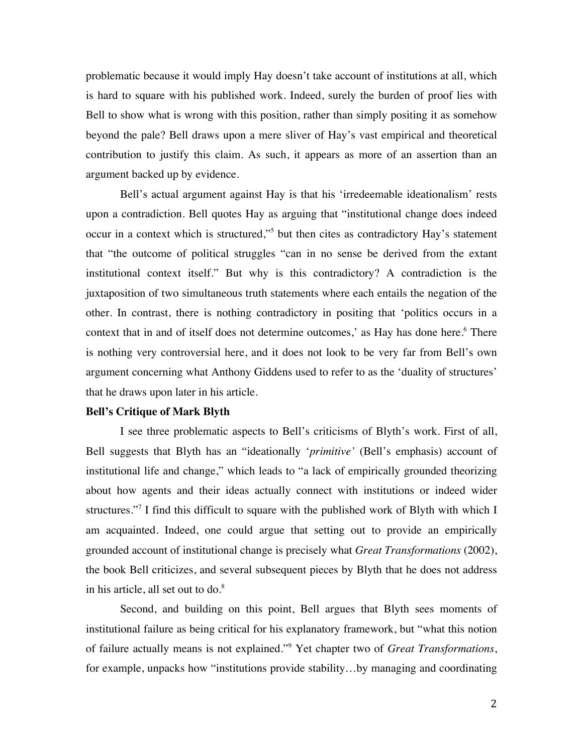problematic because it would imply Hay doesn't take account of institutions at all, which is hard to square with his published work. Indeed, surely the burden of proof lies with Bell to show what is wrong with this position, rather than simply positing it as somehow beyond the pale? Bell draws upon a mere sliver of Hay's vast empirical and theoretical contribution to justify this claim. As such, it appears as more of an assertion than an argument backed up by evidence.

Bell's actual argument against Hay is that his 'irredeemable ideationalism' rests upon a contradiction. Bell quotes Hay as arguing that "institutional change does indeed occur in a context which is structured,"<sup>5</sup> but then cites as contradictory Hay's statement that "the outcome of political struggles "can in no sense be derived from the extant institutional context itself." But why is this contradictory? A contradiction is the juxtaposition of two simultaneous truth statements where each entails the negation of the other. In contrast, there is nothing contradictory in positing that 'politics occurs in a context that in and of itself does not determine outcomes,' as Hay has done here.<sup>6</sup> There is nothing very controversial here, and it does not look to be very far from Bell's own argument concerning what Anthony Giddens used to refer to as the 'duality of structures' that he draws upon later in his article.

#### **Bell's Critique of Mark Blyth**

I see three problematic aspects to Bell's criticisms of Blyth's work. First of all, Bell suggests that Blyth has an "ideationally '*primitive'* (Bell's emphasis) account of institutional life and change," which leads to "a lack of empirically grounded theorizing about how agents and their ideas actually connect with institutions or indeed wider structures."<sup>7</sup> I find this difficult to square with the published work of Blyth with which I am acquainted. Indeed, one could argue that setting out to provide an empirically grounded account of institutional change is precisely what *Great Transformations* (2002), the book Bell criticizes, and several subsequent pieces by Blyth that he does not address in his article, all set out to  $do.<sup>8</sup>$ 

Second, and building on this point, Bell argues that Blyth sees moments of institutional failure as being critical for his explanatory framework, but "what this notion of failure actually means is not explained."<sup>9</sup> Yet chapter two of *Great Transformations*, for example, unpacks how "institutions provide stability…by managing and coordinating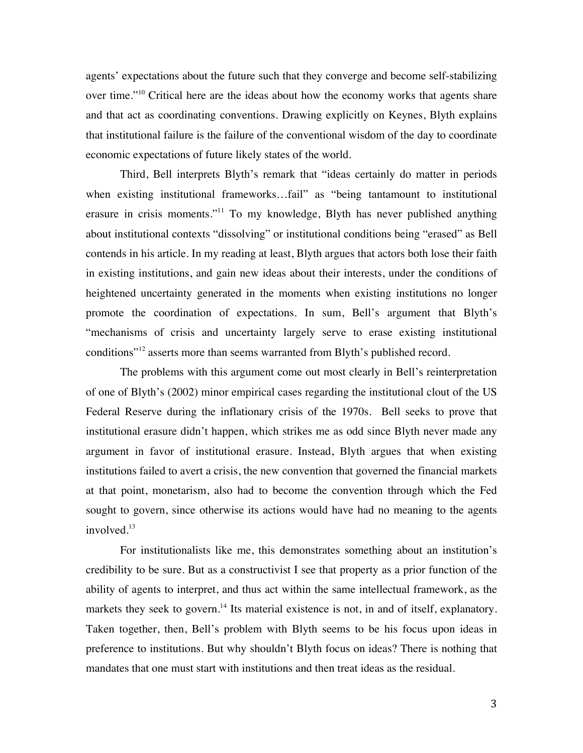agents' expectations about the future such that they converge and become self-stabilizing over time."<sup>10</sup> Critical here are the ideas about how the economy works that agents share and that act as coordinating conventions. Drawing explicitly on Keynes, Blyth explains that institutional failure is the failure of the conventional wisdom of the day to coordinate economic expectations of future likely states of the world.

Third, Bell interprets Blyth's remark that "ideas certainly do matter in periods when existing institutional frameworks...fail" as "being tantamount to institutional erasure in crisis moments."<sup>11</sup> To my knowledge, Blyth has never published anything about institutional contexts "dissolving" or institutional conditions being "erased" as Bell contends in his article. In my reading at least, Blyth argues that actors both lose their faith in existing institutions, and gain new ideas about their interests, under the conditions of heightened uncertainty generated in the moments when existing institutions no longer promote the coordination of expectations. In sum, Bell's argument that Blyth's "mechanisms of crisis and uncertainty largely serve to erase existing institutional conditions"<sup>12</sup> asserts more than seems warranted from Blyth's published record.

The problems with this argument come out most clearly in Bell's reinterpretation of one of Blyth's (2002) minor empirical cases regarding the institutional clout of the US Federal Reserve during the inflationary crisis of the 1970s. Bell seeks to prove that institutional erasure didn't happen, which strikes me as odd since Blyth never made any argument in favor of institutional erasure. Instead, Blyth argues that when existing institutions failed to avert a crisis, the new convention that governed the financial markets at that point, monetarism, also had to become the convention through which the Fed sought to govern, since otherwise its actions would have had no meaning to the agents involved. $13$ 

For institutionalists like me, this demonstrates something about an institution's credibility to be sure. But as a constructivist I see that property as a prior function of the ability of agents to interpret, and thus act within the same intellectual framework, as the markets they seek to govern.<sup>14</sup> Its material existence is not, in and of itself, explanatory. Taken together, then, Bell's problem with Blyth seems to be his focus upon ideas in preference to institutions. But why shouldn't Blyth focus on ideas? There is nothing that mandates that one must start with institutions and then treat ideas as the residual.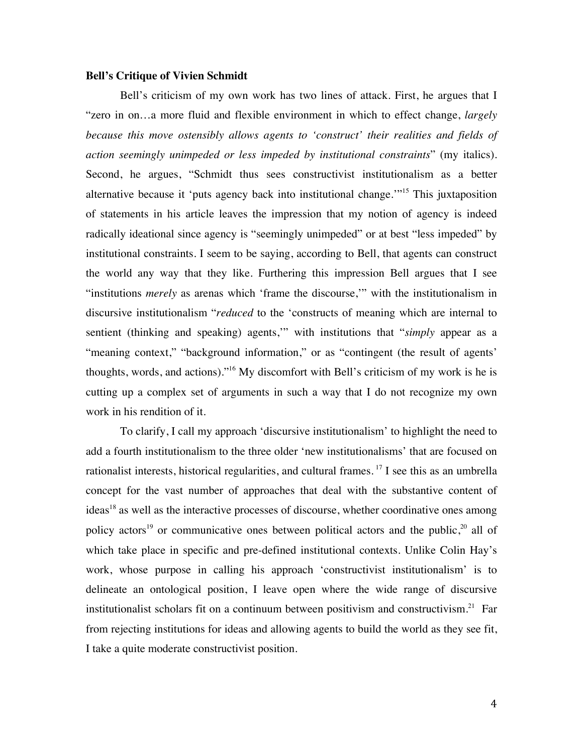#### **Bell's Critique of Vivien Schmidt**

Bell's criticism of my own work has two lines of attack. First, he argues that I "zero in on…a more fluid and flexible environment in which to effect change, *largely because this move ostensibly allows agents to 'construct' their realities and fields of action seemingly unimpeded or less impeded by institutional constraints*" (my italics). Second, he argues, "Schmidt thus sees constructivist institutionalism as a better alternative because it 'puts agency back into institutional change.'"15 This juxtaposition of statements in his article leaves the impression that my notion of agency is indeed radically ideational since agency is "seemingly unimpeded" or at best "less impeded" by institutional constraints. I seem to be saying, according to Bell, that agents can construct the world any way that they like. Furthering this impression Bell argues that I see "institutions *merely* as arenas which 'frame the discourse,'" with the institutionalism in discursive institutionalism "*reduced* to the 'constructs of meaning which are internal to sentient (thinking and speaking) agents,'" with institutions that "*simply* appear as a "meaning context," "background information," or as "contingent (the result of agents' thoughts, words, and actions)."16 My discomfort with Bell's criticism of my work is he is cutting up a complex set of arguments in such a way that I do not recognize my own work in his rendition of it.

To clarify, I call my approach 'discursive institutionalism' to highlight the need to add a fourth institutionalism to the three older 'new institutionalisms' that are focused on rationalist interests, historical regularities, and cultural frames.<sup>17</sup> I see this as an umbrella concept for the vast number of approaches that deal with the substantive content of ideas<sup>18</sup> as well as the interactive processes of discourse, whether coordinative ones among policy actors<sup>19</sup> or communicative ones between political actors and the public,<sup>20</sup> all of which take place in specific and pre-defined institutional contexts. Unlike Colin Hay's work, whose purpose in calling his approach 'constructivist institutionalism' is to delineate an ontological position, I leave open where the wide range of discursive institutionalist scholars fit on a continuum between positivism and constructivism.<sup>21</sup> Far from rejecting institutions for ideas and allowing agents to build the world as they see fit, I take a quite moderate constructivist position.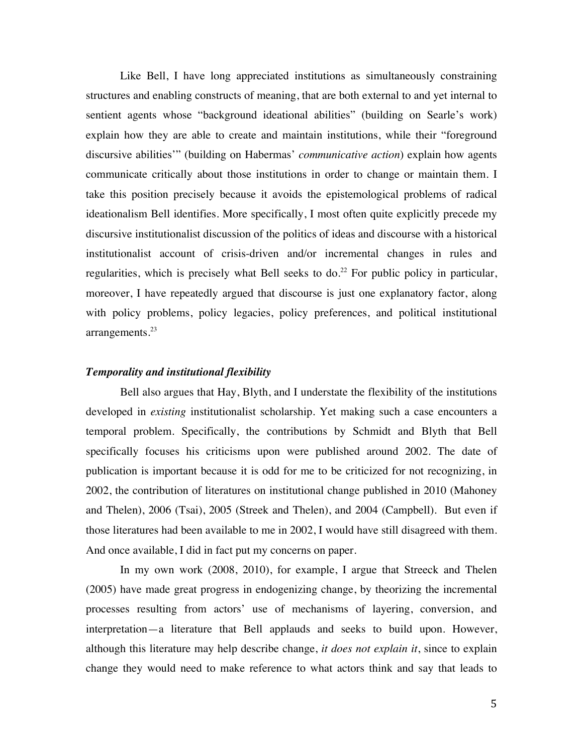Like Bell, I have long appreciated institutions as simultaneously constraining structures and enabling constructs of meaning, that are both external to and yet internal to sentient agents whose "background ideational abilities" (building on Searle's work) explain how they are able to create and maintain institutions, while their "foreground discursive abilities'" (building on Habermas' *communicative action*) explain how agents communicate critically about those institutions in order to change or maintain them. I take this position precisely because it avoids the epistemological problems of radical ideationalism Bell identifies. More specifically, I most often quite explicitly precede my discursive institutionalist discussion of the politics of ideas and discourse with a historical institutionalist account of crisis-driven and/or incremental changes in rules and regularities, which is precisely what Bell seeks to do.<sup>22</sup> For public policy in particular, moreover, I have repeatedly argued that discourse is just one explanatory factor, along with policy problems, policy legacies, policy preferences, and political institutional arrangements.<sup>23</sup>

### *Temporality and institutional flexibility*

Bell also argues that Hay, Blyth, and I understate the flexibility of the institutions developed in *existing* institutionalist scholarship. Yet making such a case encounters a temporal problem. Specifically, the contributions by Schmidt and Blyth that Bell specifically focuses his criticisms upon were published around 2002. The date of publication is important because it is odd for me to be criticized for not recognizing, in 2002, the contribution of literatures on institutional change published in 2010 (Mahoney and Thelen), 2006 (Tsai), 2005 (Streek and Thelen), and 2004 (Campbell). But even if those literatures had been available to me in 2002, I would have still disagreed with them. And once available, I did in fact put my concerns on paper.

In my own work (2008, 2010), for example, I argue that Streeck and Thelen (2005) have made great progress in endogenizing change, by theorizing the incremental processes resulting from actors' use of mechanisms of layering, conversion, and interpretation—a literature that Bell applauds and seeks to build upon. However, although this literature may help describe change, *it does not explain it*, since to explain change they would need to make reference to what actors think and say that leads to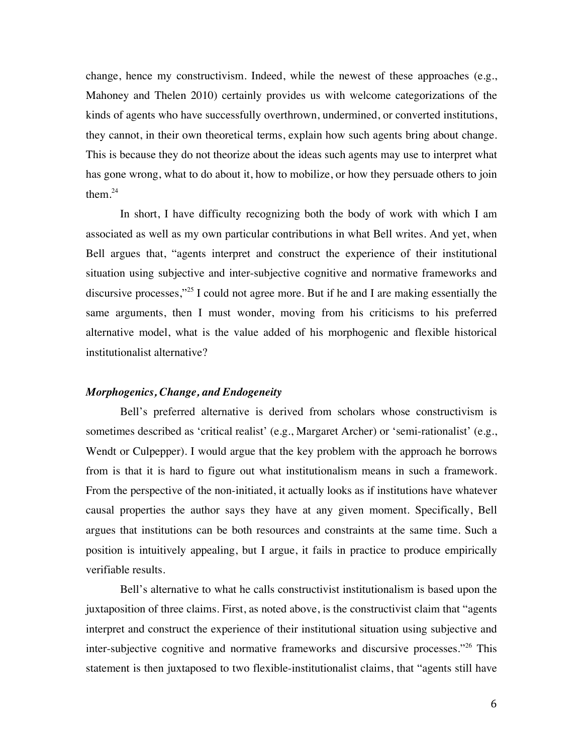change, hence my constructivism. Indeed, while the newest of these approaches (e.g., Mahoney and Thelen 2010) certainly provides us with welcome categorizations of the kinds of agents who have successfully overthrown, undermined, or converted institutions, they cannot, in their own theoretical terms, explain how such agents bring about change. This is because they do not theorize about the ideas such agents may use to interpret what has gone wrong, what to do about it, how to mobilize, or how they persuade others to join them.24

In short, I have difficulty recognizing both the body of work with which I am associated as well as my own particular contributions in what Bell writes. And yet, when Bell argues that, "agents interpret and construct the experience of their institutional situation using subjective and inter-subjective cognitive and normative frameworks and discursive processes,"<sup>25</sup> I could not agree more. But if he and I are making essentially the same arguments, then I must wonder, moving from his criticisms to his preferred alternative model, what is the value added of his morphogenic and flexible historical institutionalist alternative?

### *Morphogenics, Change, and Endogeneity*

Bell's preferred alternative is derived from scholars whose constructivism is sometimes described as 'critical realist' (e.g., Margaret Archer) or 'semi-rationalist' (e.g., Wendt or Culpepper). I would argue that the key problem with the approach he borrows from is that it is hard to figure out what institutionalism means in such a framework. From the perspective of the non-initiated, it actually looks as if institutions have whatever causal properties the author says they have at any given moment. Specifically, Bell argues that institutions can be both resources and constraints at the same time. Such a position is intuitively appealing, but I argue, it fails in practice to produce empirically verifiable results.

Bell's alternative to what he calls constructivist institutionalism is based upon the juxtaposition of three claims. First, as noted above, is the constructivist claim that "agents interpret and construct the experience of their institutional situation using subjective and inter-subjective cognitive and normative frameworks and discursive processes."<sup>26</sup> This statement is then juxtaposed to two flexible-institutionalist claims, that "agents still have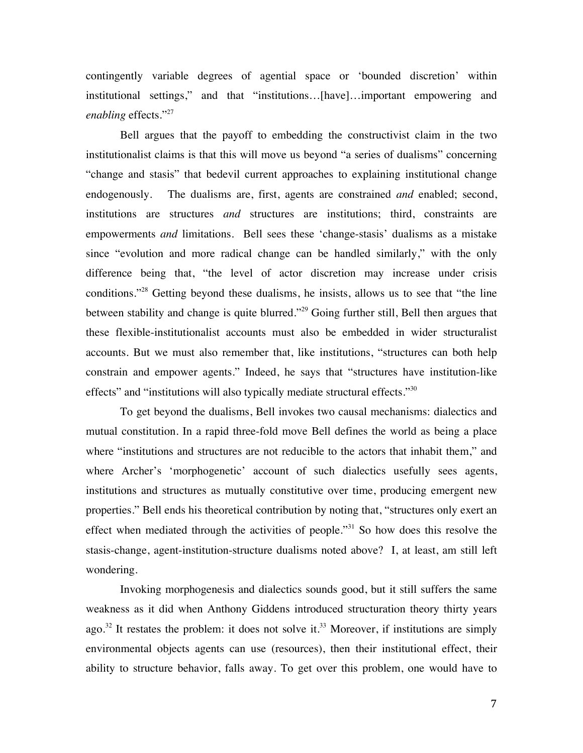contingently variable degrees of agential space or 'bounded discretion' within institutional settings," and that "institutions…[have]…important empowering and *enabling* effects."<sup>27</sup>

Bell argues that the payoff to embedding the constructivist claim in the two institutionalist claims is that this will move us beyond "a series of dualisms" concerning "change and stasis" that bedevil current approaches to explaining institutional change endogenously. The dualisms are, first, agents are constrained *and* enabled; second, institutions are structures *and* structures are institutions; third, constraints are empowerments *and* limitations. Bell sees these 'change-stasis' dualisms as a mistake since "evolution and more radical change can be handled similarly," with the only difference being that, "the level of actor discretion may increase under crisis conditions."28 Getting beyond these dualisms, he insists, allows us to see that "the line between stability and change is quite blurred."<sup>29</sup> Going further still, Bell then argues that these flexible-institutionalist accounts must also be embedded in wider structuralist accounts. But we must also remember that, like institutions, "structures can both help constrain and empower agents." Indeed, he says that "structures have institution-like effects" and "institutions will also typically mediate structural effects."<sup>30</sup>

To get beyond the dualisms, Bell invokes two causal mechanisms: dialectics and mutual constitution. In a rapid three-fold move Bell defines the world as being a place where "institutions and structures are not reducible to the actors that inhabit them," and where Archer's 'morphogenetic' account of such dialectics usefully sees agents, institutions and structures as mutually constitutive over time, producing emergent new properties." Bell ends his theoretical contribution by noting that, "structures only exert an effect when mediated through the activities of people."<sup>31</sup> So how does this resolve the stasis-change, agent-institution-structure dualisms noted above? I, at least, am still left wondering.

Invoking morphogenesis and dialectics sounds good, but it still suffers the same weakness as it did when Anthony Giddens introduced structuration theory thirty years ago.<sup>32</sup> It restates the problem: it does not solve it.<sup>33</sup> Moreover, if institutions are simply environmental objects agents can use (resources), then their institutional effect, their ability to structure behavior, falls away. To get over this problem, one would have to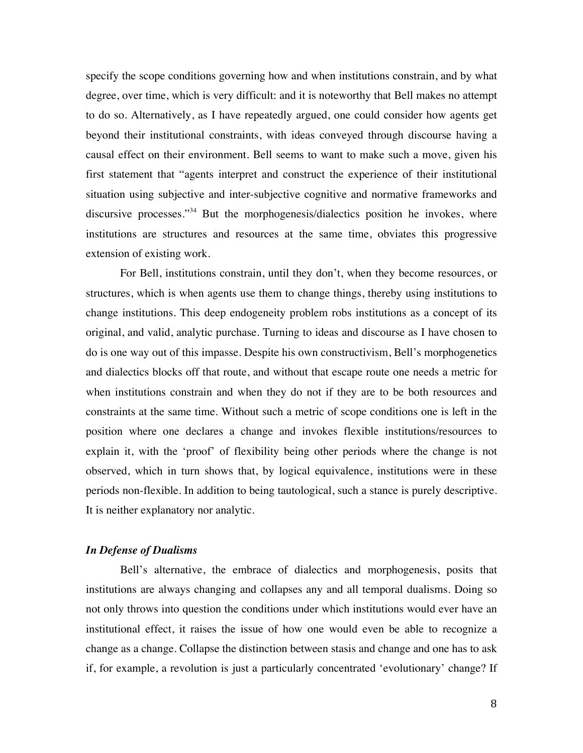specify the scope conditions governing how and when institutions constrain, and by what degree, over time, which is very difficult: and it is noteworthy that Bell makes no attempt to do so. Alternatively, as I have repeatedly argued, one could consider how agents get beyond their institutional constraints, with ideas conveyed through discourse having a causal effect on their environment. Bell seems to want to make such a move, given his first statement that "agents interpret and construct the experience of their institutional situation using subjective and inter-subjective cognitive and normative frameworks and discursive processes."<sup>34</sup> But the morphogenesis/dialectics position he invokes, where institutions are structures and resources at the same time, obviates this progressive extension of existing work.

For Bell, institutions constrain, until they don't, when they become resources, or structures, which is when agents use them to change things, thereby using institutions to change institutions. This deep endogeneity problem robs institutions as a concept of its original, and valid, analytic purchase. Turning to ideas and discourse as I have chosen to do is one way out of this impasse. Despite his own constructivism, Bell's morphogenetics and dialectics blocks off that route, and without that escape route one needs a metric for when institutions constrain and when they do not if they are to be both resources and constraints at the same time. Without such a metric of scope conditions one is left in the position where one declares a change and invokes flexible institutions/resources to explain it, with the 'proof' of flexibility being other periods where the change is not observed, which in turn shows that, by logical equivalence, institutions were in these periods non-flexible. In addition to being tautological, such a stance is purely descriptive. It is neither explanatory nor analytic.

# *In Defense of Dualisms*

Bell's alternative, the embrace of dialectics and morphogenesis, posits that institutions are always changing and collapses any and all temporal dualisms. Doing so not only throws into question the conditions under which institutions would ever have an institutional effect, it raises the issue of how one would even be able to recognize a change as a change. Collapse the distinction between stasis and change and one has to ask if, for example, a revolution is just a particularly concentrated 'evolutionary' change? If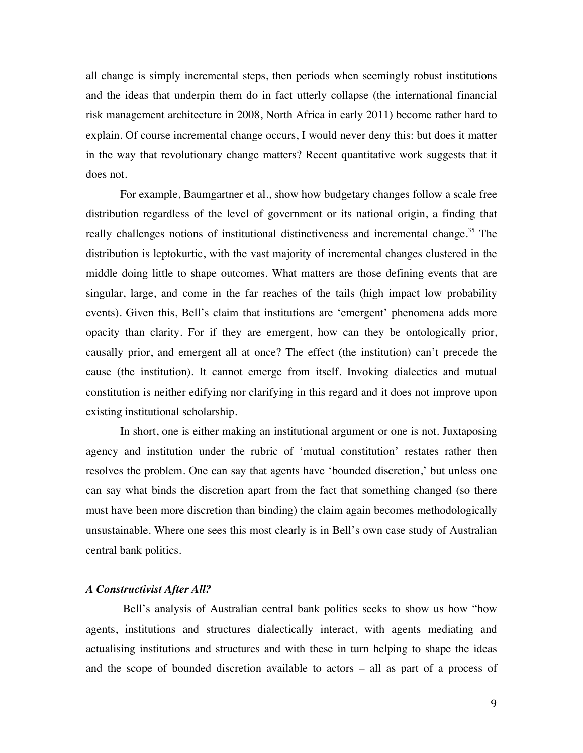all change is simply incremental steps, then periods when seemingly robust institutions and the ideas that underpin them do in fact utterly collapse (the international financial risk management architecture in 2008, North Africa in early 2011) become rather hard to explain. Of course incremental change occurs, I would never deny this: but does it matter in the way that revolutionary change matters? Recent quantitative work suggests that it does not.

For example, Baumgartner et al., show how budgetary changes follow a scale free distribution regardless of the level of government or its national origin, a finding that really challenges notions of institutional distinctiveness and incremental change.<sup>35</sup> The distribution is leptokurtic, with the vast majority of incremental changes clustered in the middle doing little to shape outcomes. What matters are those defining events that are singular, large, and come in the far reaches of the tails (high impact low probability events). Given this, Bell's claim that institutions are 'emergent' phenomena adds more opacity than clarity. For if they are emergent, how can they be ontologically prior, causally prior, and emergent all at once? The effect (the institution) can't precede the cause (the institution). It cannot emerge from itself. Invoking dialectics and mutual constitution is neither edifying nor clarifying in this regard and it does not improve upon existing institutional scholarship.

In short, one is either making an institutional argument or one is not. Juxtaposing agency and institution under the rubric of 'mutual constitution' restates rather then resolves the problem. One can say that agents have 'bounded discretion,' but unless one can say what binds the discretion apart from the fact that something changed (so there must have been more discretion than binding) the claim again becomes methodologically unsustainable. Where one sees this most clearly is in Bell's own case study of Australian central bank politics.

### *A Constructivist After All?*

Bell's analysis of Australian central bank politics seeks to show us how "how agents, institutions and structures dialectically interact, with agents mediating and actualising institutions and structures and with these in turn helping to shape the ideas and the scope of bounded discretion available to actors – all as part of a process of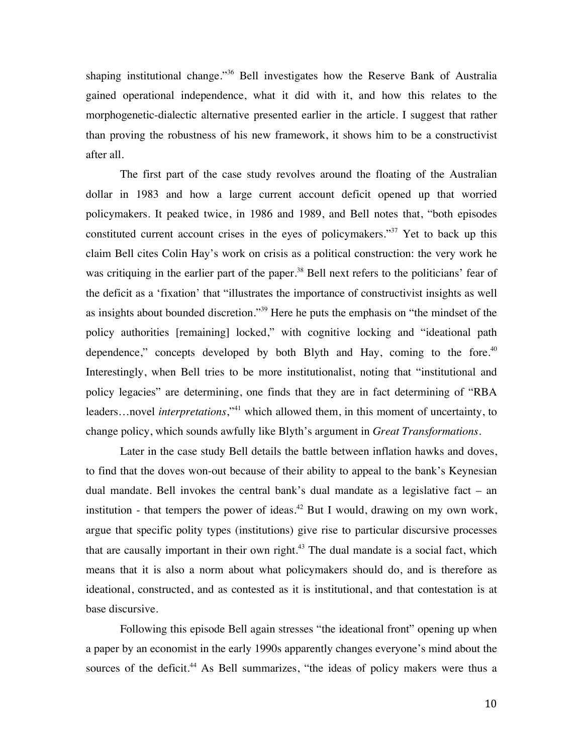shaping institutional change."<sup>36</sup> Bell investigates how the Reserve Bank of Australia gained operational independence, what it did with it, and how this relates to the morphogenetic-dialectic alternative presented earlier in the article. I suggest that rather than proving the robustness of his new framework, it shows him to be a constructivist after all.

The first part of the case study revolves around the floating of the Australian dollar in 1983 and how a large current account deficit opened up that worried policymakers. It peaked twice, in 1986 and 1989, and Bell notes that, "both episodes constituted current account crises in the eyes of policymakers."37 Yet to back up this claim Bell cites Colin Hay's work on crisis as a political construction: the very work he was critiquing in the earlier part of the paper.<sup>38</sup> Bell next refers to the politicians' fear of the deficit as a 'fixation' that "illustrates the importance of constructivist insights as well as insights about bounded discretion."39 Here he puts the emphasis on "the mindset of the policy authorities [remaining] locked," with cognitive locking and "ideational path dependence," concepts developed by both Blyth and Hay, coming to the fore. $40$ Interestingly, when Bell tries to be more institutionalist, noting that "institutional and policy legacies" are determining, one finds that they are in fact determining of "RBA leaders...novel *interpretations*,"<sup>41</sup> which allowed them, in this moment of uncertainty, to change policy, which sounds awfully like Blyth's argument in *Great Transformations*.

Later in the case study Bell details the battle between inflation hawks and doves, to find that the doves won-out because of their ability to appeal to the bank's Keynesian dual mandate. Bell invokes the central bank's dual mandate as a legislative fact – an institution - that tempers the power of ideas.<sup>42</sup> But I would, drawing on my own work, argue that specific polity types (institutions) give rise to particular discursive processes that are causally important in their own right.<sup>43</sup> The dual mandate is a social fact, which means that it is also a norm about what policymakers should do, and is therefore as ideational, constructed, and as contested as it is institutional, and that contestation is at base discursive.

Following this episode Bell again stresses "the ideational front" opening up when a paper by an economist in the early 1990s apparently changes everyone's mind about the sources of the deficit.<sup>44</sup> As Bell summarizes, "the ideas of policy makers were thus a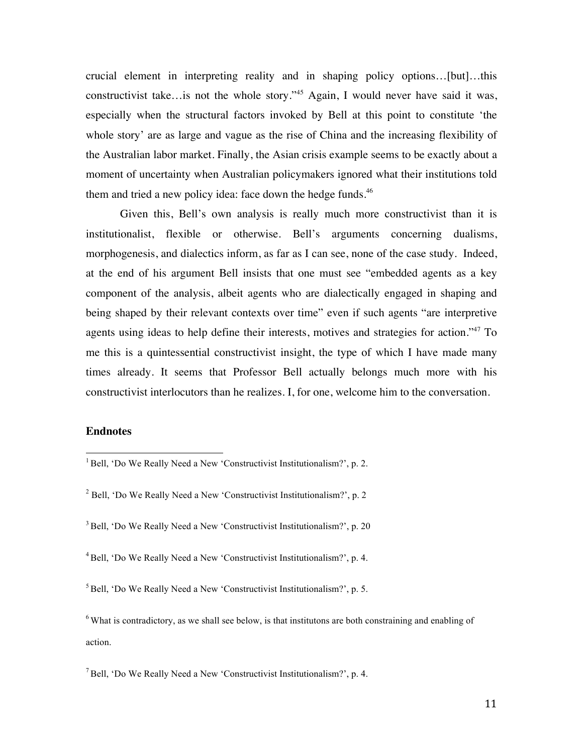crucial element in interpreting reality and in shaping policy options…[but]…this constructivist take…is not the whole story."<sup>45</sup> Again, I would never have said it was, especially when the structural factors invoked by Bell at this point to constitute 'the whole story' are as large and vague as the rise of China and the increasing flexibility of the Australian labor market. Finally, the Asian crisis example seems to be exactly about a moment of uncertainty when Australian policymakers ignored what their institutions told them and tried a new policy idea: face down the hedge funds.<sup>46</sup>

Given this, Bell's own analysis is really much more constructivist than it is institutionalist, flexible or otherwise. Bell's arguments concerning dualisms, morphogenesis, and dialectics inform, as far as I can see, none of the case study. Indeed, at the end of his argument Bell insists that one must see "embedded agents as a key component of the analysis, albeit agents who are dialectically engaged in shaping and being shaped by their relevant contexts over time" even if such agents "are interpretive agents using ideas to help define their interests, motives and strategies for action."<sup>47</sup> To me this is a quintessential constructivist insight, the type of which I have made many times already. It seems that Professor Bell actually belongs much more with his constructivist interlocutors than he realizes. I, for one, welcome him to the conversation.

# **Endnotes**

 $<sup>7</sup>$  Bell, 'Do We Really Need a New 'Constructivist Institutionalism?', p. 4.</sup>

 $1$  Bell, 'Do We Really Need a New 'Constructivist Institutionalism?', p. 2.

 $2$  Bell, 'Do We Really Need a New 'Constructivist Institutionalism?', p. 2

 $3$  Bell, 'Do We Really Need a New 'Constructivist Institutionalism?', p. 20

 $4$ Bell, 'Do We Really Need a New 'Constructivist Institutionalism?', p. 4.

 $<sup>5</sup>$  Bell, 'Do We Really Need a New 'Constructivist Institutionalism?', p. 5.</sup>

 $6$  What is contradictory, as we shall see below, is that institutons are both constraining and enabling of action.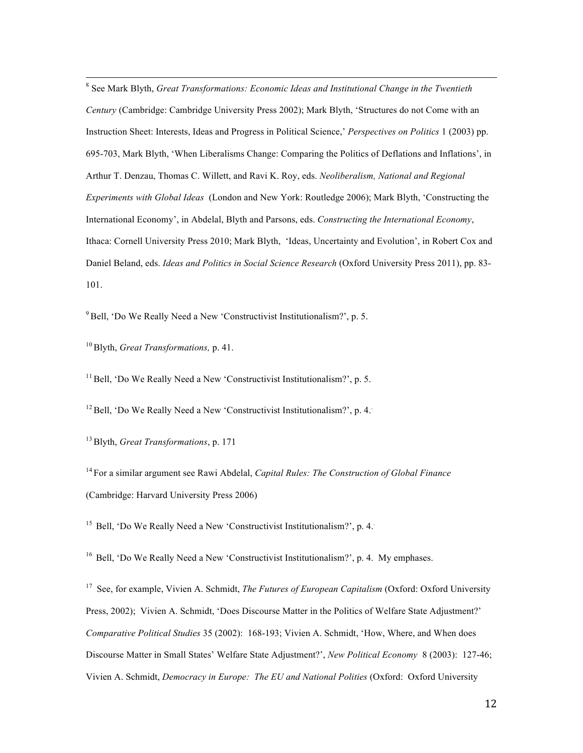<sup>8</sup> See Mark Blyth, *Great Transformations: Economic Ideas and Institutional Change in the Twentieth Century* (Cambridge: Cambridge University Press 2002); Mark Blyth, 'Structures do not Come with an Instruction Sheet: Interests, Ideas and Progress in Political Science,' *Perspectives on Politics* 1 (2003) pp. 695-703, Mark Blyth, 'When Liberalisms Change: Comparing the Politics of Deflations and Inflations', in Arthur T. Denzau, Thomas C. Willett, and Ravi K. Roy, eds. *Neoliberalism, National and Regional Experiments with Global Ideas* (London and New York: Routledge 2006); Mark Blyth, 'Constructing the International Economy', in Abdelal, Blyth and Parsons, eds. *Constructing the International Economy*, Ithaca: Cornell University Press 2010; Mark Blyth, 'Ideas, Uncertainty and Evolution', in Robert Cox and Daniel Beland, eds. *Ideas and Politics in Social Science Research* (Oxford University Press 2011), pp. 83- 101.

 $9^9$  Bell, 'Do We Really Need a New 'Constructivist Institutionalism?', p. 5.

10Blyth, *Great Transformations,* p. 41.

 $11$  Bell, 'Do We Really Need a New 'Constructivist Institutionalism?', p. 5.

 $12$  Bell, 'Do We Really Need a New 'Constructivist Institutionalism?', p. 4.

13Blyth, *Great Transformations*, p. 171

<sup>14</sup> For a similar argument see Rawi Abdelal, *Capital Rules: The Construction of Global Finance* (Cambridge: Harvard University Press 2006)

<sup>15</sup> Bell, 'Do We Really Need a New 'Constructivist Institutionalism?', p. 4.

<sup>16</sup> Bell, 'Do We Really Need a New 'Constructivist Institutionalism?', p. 4. My emphases.

17 See, for example, Vivien A. Schmidt, *The Futures of European Capitalism* (Oxford: Oxford University Press, 2002); Vivien A. Schmidt, 'Does Discourse Matter in the Politics of Welfare State Adjustment?' *Comparative Political Studies* 35 (2002): 168-193; Vivien A. Schmidt, 'How, Where, and When does Discourse Matter in Small States' Welfare State Adjustment?', *New Political Economy* 8 (2003): 127-46; Vivien A. Schmidt, *Democracy in Europe: The EU and National Polities* (Oxford: Oxford University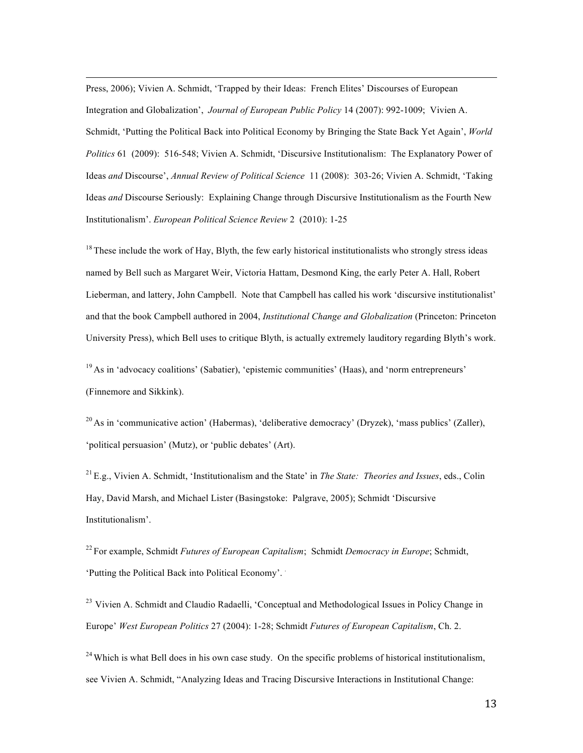Press, 2006); Vivien A. Schmidt, 'Trapped by their Ideas: French Elites' Discourses of European Integration and Globalization', *Journal of European Public Policy* 14 (2007): 992-1009; Vivien A. Schmidt, 'Putting the Political Back into Political Economy by Bringing the State Back Yet Again', *World Politics* 61 (2009): 516-548; Vivien A. Schmidt, 'Discursive Institutionalism: The Explanatory Power of Ideas *and* Discourse', *Annual Review of Political Science* 11 (2008): 303-26; Vivien A. Schmidt, 'Taking Ideas *and* Discourse Seriously: Explaining Change through Discursive Institutionalism as the Fourth New Institutionalism'. *European Political Science Review* 2 (2010): 1-25

<u> 2002 - Andrea San Andrea San Andrea San Andrea San Andrea San Andrea San Andrea San Andrea San Andrea San An</u>

 $18$  These include the work of Hay, Blyth, the few early historical institutionalists who strongly stress ideas named by Bell such as Margaret Weir, Victoria Hattam, Desmond King, the early Peter A. Hall, Robert Lieberman, and lattery, John Campbell. Note that Campbell has called his work 'discursive institutionalist' and that the book Campbell authored in 2004, *Institutional Change and Globalization* (Princeton: Princeton University Press), which Bell uses to critique Blyth, is actually extremely lauditory regarding Blyth's work.

 $19$  As in 'advocacy coalitions' (Sabatier), 'epistemic communities' (Haas), and 'norm entrepreneurs' (Finnemore and Sikkink).

 $^{20}$  As in 'communicative action' (Habermas), 'deliberative democracy' (Dryzek), 'mass publics' (Zaller), 'political persuasion' (Mutz), or 'public debates' (Art).

<sup>21</sup> E.g., Vivien A. Schmidt, 'Institutionalism and the State' in *The State: Theories and Issues*, eds., Colin Hay, David Marsh, and Michael Lister (Basingstoke: Palgrave, 2005); Schmidt 'Discursive Institutionalism'.

<sup>22</sup> For example, Schmidt *Futures of European Capitalism*; Schmidt *Democracy in Europe*; Schmidt, 'Putting the Political Back into Political Economy'. .

<sup>23</sup> Vivien A. Schmidt and Claudio Radaelli, 'Conceptual and Methodological Issues in Policy Change in Europe' *West European Politics* 27 (2004): 1-28; Schmidt *Futures of European Capitalism*, Ch. 2.

 $24$  Which is what Bell does in his own case study. On the specific problems of historical institutionalism, see Vivien A. Schmidt, "Analyzing Ideas and Tracing Discursive Interactions in Institutional Change:

13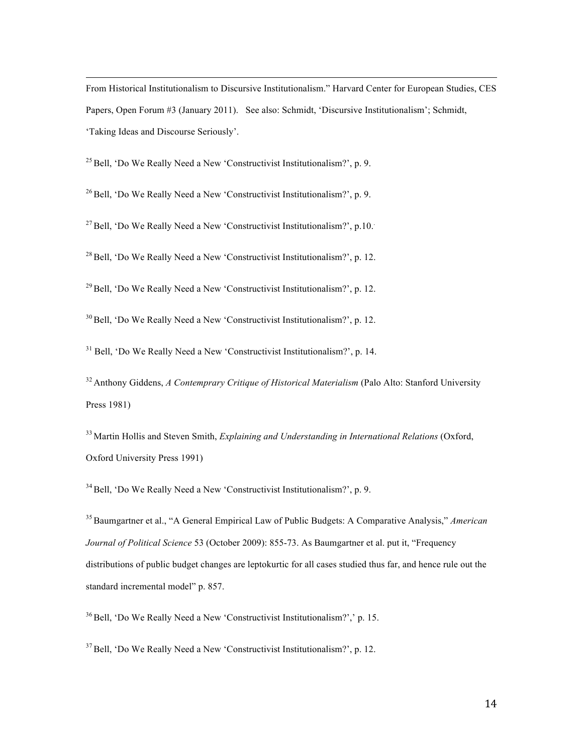From Historical Institutionalism to Discursive Institutionalism." Harvard Center for European Studies, CES Papers, Open Forum #3 (January 2011). See also: Schmidt, 'Discursive Institutionalism'; Schmidt, 'Taking Ideas and Discourse Seriously'.

<u> 2002 - Andrea San Andrea San Andrea San Andrea San Andrea San Andrea San Andrea San Andrea San Andrea San An</u>

<sup>25</sup> Bell, 'Do We Really Need a New 'Constructivist Institutionalism?', p. 9.

 $^{26}$  Bell, 'Do We Really Need a New 'Constructivist Institutionalism?', p. 9.

 $27$  Bell, 'Do We Really Need a New 'Constructivist Institutionalism?', p.10.

 $^{28}$  Bell, 'Do We Really Need a New 'Constructivist Institutionalism?', p. 12.

 $^{29}$ Bell, 'Do We Really Need a New 'Constructivist Institutionalism?', p. 12.

 $30$  Bell, 'Do We Really Need a New 'Constructivist Institutionalism?', p. 12.

 $31$  Bell, 'Do We Really Need a New 'Constructivist Institutionalism?', p. 14.

<sup>32</sup> Anthony Giddens, *A Contemprary Critique of Historical Materialism* (Palo Alto: Stanford University Press 1981)

<sup>33</sup> Martin Hollis and Steven Smith, *Explaining and Understanding in International Relations* (Oxford, Oxford University Press 1991)

 $34$  Bell, 'Do We Really Need a New 'Constructivist Institutionalism?', p. 9.

35Baumgartner et al., "A General Empirical Law of Public Budgets: A Comparative Analysis," *American Journal of Political Science* 53 (October 2009): 855-73. As Baumgartner et al. put it, "Frequency distributions of public budget changes are leptokurtic for all cases studied thus far, and hence rule out the standard incremental model" p. 857.

<sup>36</sup> Bell, 'Do We Really Need a New 'Constructivist Institutionalism?',' p. 15.

 $37$  Bell, 'Do We Really Need a New 'Constructivist Institutionalism?', p. 12.